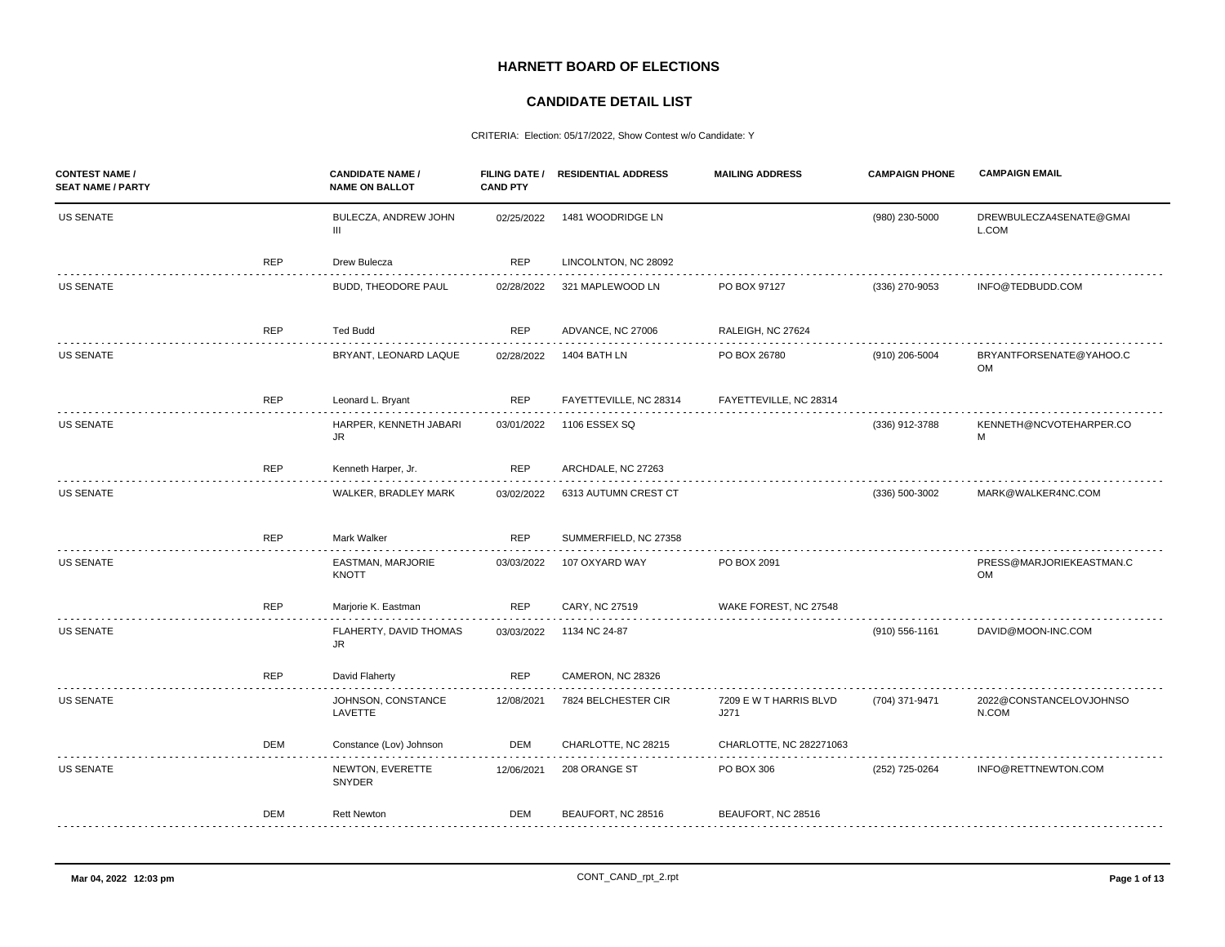## **HARNETT BOARD OF ELECTIONS**

## **CANDIDATE DETAIL LIST**

CRITERIA: Election: 05/17/2022, Show Contest w/o Candidate: Y

| <b>CONTEST NAME /</b><br><b>SEAT NAME / PARTY</b> |            | <b>CANDIDATE NAME /</b><br><b>NAME ON BALLOT</b> | <b>CAND PTY</b> | FILING DATE / RESIDENTIAL ADDRESS | <b>MAILING ADDRESS</b>         | <b>CAMPAIGN PHONE</b> | <b>CAMPAIGN EMAIL</b>                 |
|---------------------------------------------------|------------|--------------------------------------------------|-----------------|-----------------------------------|--------------------------------|-----------------------|---------------------------------------|
| <b>US SENATE</b>                                  |            | BULECZA, ANDREW JOHN<br>III                      | 02/25/2022      | 1481 WOODRIDGE LN                 |                                | (980) 230-5000        | DREWBULECZA4SENATE@GMAI<br>L.COM      |
|                                                   | <b>REP</b> | Drew Bulecza                                     | <b>REP</b>      | LINCOLNTON, NC 28092              |                                |                       |                                       |
| <b>US SENATE</b>                                  |            | BUDD, THEODORE PAUL                              | 02/28/2022      | 321 MAPLEWOOD LN                  | PO BOX 97127                   | (336) 270-9053        | INFO@TEDBUDD.COM                      |
|                                                   | <b>REP</b> | <b>Ted Budd</b>                                  | <b>REP</b>      | ADVANCE, NC 27006                 | RALEIGH, NC 27624              |                       |                                       |
| <b>US SENATE</b>                                  |            | BRYANT, LEONARD LAQUE                            | 02/28/2022      | 1404 BATH LN                      | PO BOX 26780                   | (910) 206-5004        | BRYANTFORSENATE@YAHOO.C<br><b>OM</b>  |
|                                                   | <b>REP</b> | Leonard L. Bryant                                | REP             | FAYETTEVILLE, NC 28314            | FAYETTEVILLE, NC 28314         |                       |                                       |
| <b>US SENATE</b>                                  |            | HARPER, KENNETH JABARI<br>JR                     | 03/01/2022      | 1106 ESSEX SQ                     |                                | (336) 912-3788        | KENNETH@NCVOTEHARPER.CO<br>M          |
|                                                   | <b>REP</b> | Kenneth Harper, Jr.                              | <b>REP</b>      | ARCHDALE, NC 27263                |                                |                       |                                       |
| <b>US SENATE</b>                                  |            | WALKER, BRADLEY MARK                             | 03/02/2022      | 6313 AUTUMN CREST CT              |                                | (336) 500-3002        | MARK@WALKER4NC.COM                    |
|                                                   | <b>REP</b> | Mark Walker                                      | <b>REP</b>      | SUMMERFIELD, NC 27358             |                                |                       |                                       |
| <b>US SENATE</b>                                  |            | EASTMAN, MARJORIE<br>KNOTT                       | 03/03/2022      | 107 OXYARD WAY                    | PO BOX 2091                    |                       | PRESS@MARJORIEKEASTMAN.C<br><b>OM</b> |
|                                                   | <b>REP</b> | Marjorie K. Eastman                              | <b>REP</b>      | CARY, NC 27519                    | WAKE FOREST, NC 27548          |                       |                                       |
| <b>US SENATE</b>                                  |            | FLAHERTY, DAVID THOMAS<br><b>JR</b>              | 03/03/2022      | 1134 NC 24-87                     |                                | (910) 556-1161        | DAVID@MOON-INC.COM                    |
|                                                   | <b>REP</b> | David Flaherty                                   | <b>REP</b>      | CAMERON, NC 28326                 |                                |                       |                                       |
| US SENATE                                         |            | JOHNSON, CONSTANCE<br>LAVETTE                    | 12/08/2021      | 7824 BELCHESTER CIR               | 7209 E W T HARRIS BLVD<br>J271 | (704) 371-9471        | 2022@CONSTANCELOVJOHNSO<br>N.COM      |
|                                                   | DEM        | Constance (Lov) Johnson                          | DEM             | CHARLOTTE, NC 28215               | CHARLOTTE, NC 282271063        |                       |                                       |
| <b>US SENATE</b>                                  |            | NEWTON, EVERETTE<br>SNYDER                       | 12/06/2021      | 208 ORANGE ST                     | PO BOX 306                     | (252) 725-0264        | INFO@RETTNEWTON.COM                   |
|                                                   | <b>DEM</b> | <b>Rett Newton</b>                               | <b>DEM</b>      | BEAUFORT, NC 28516                | BEAUFORT, NC 28516             |                       |                                       |
|                                                   |            |                                                  |                 |                                   |                                |                       |                                       |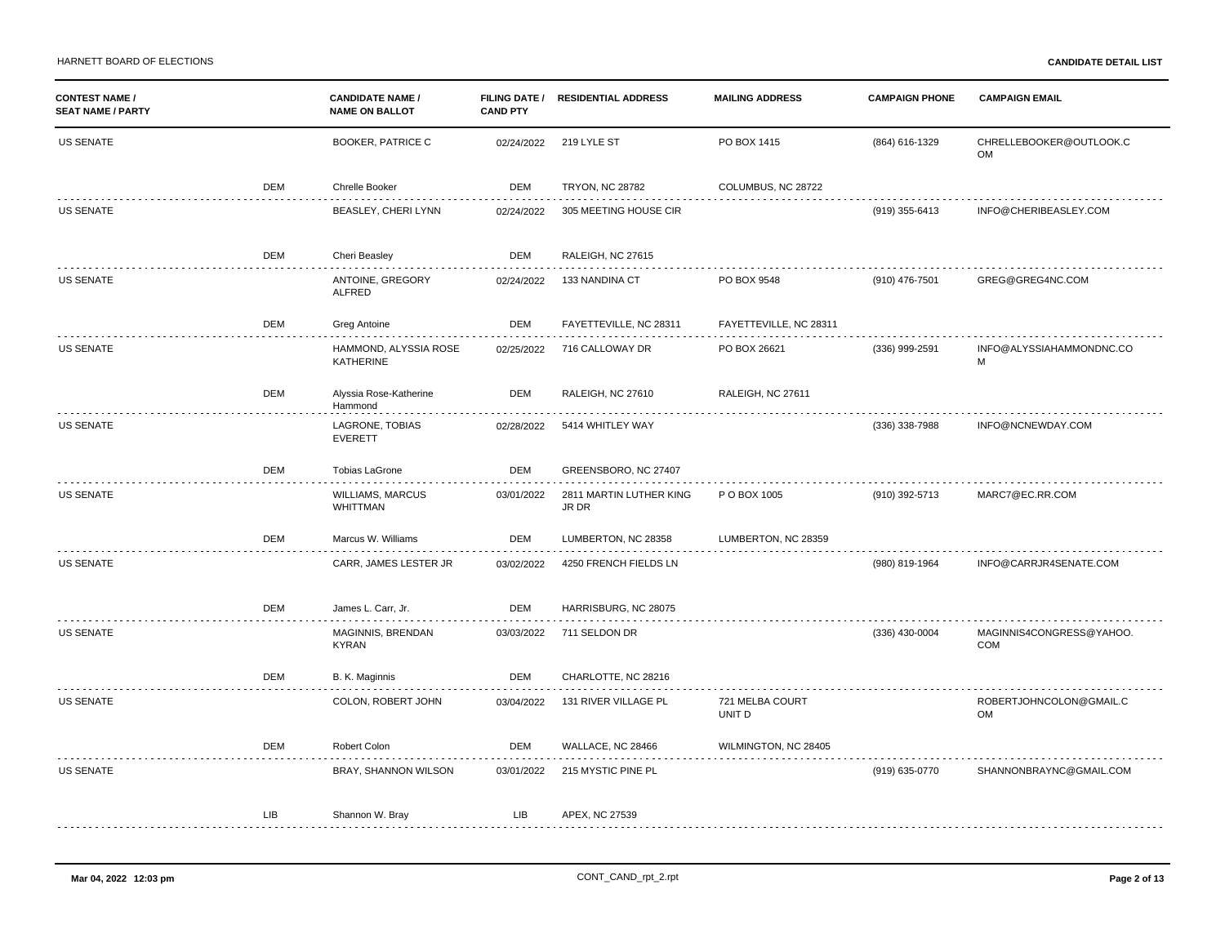| <b>CONTEST NAME /</b><br><b>SEAT NAME / PARTY</b> |            | <b>CANDIDATE NAME /</b><br><b>NAME ON BALLOT</b> | <b>CAND PTY</b> | FILING DATE / RESIDENTIAL ADDRESS | <b>MAILING ADDRESS</b>    | <b>CAMPAIGN PHONE</b> | <b>CAMPAIGN EMAIL</b>           |
|---------------------------------------------------|------------|--------------------------------------------------|-----------------|-----------------------------------|---------------------------|-----------------------|---------------------------------|
| US SENATE                                         |            | <b>BOOKER, PATRICE C</b>                         | 02/24/2022      | 219 LYLE ST                       | PO BOX 1415               | (864) 616-1329        | CHRELLEBOOKER@OUTLOOK.C<br>OM   |
|                                                   | DEM        | Chrelle Booker                                   | DEM             | <b>TRYON, NC 28782</b>            | COLUMBUS, NC 28722        |                       |                                 |
| US SENATE                                         |            | BEASLEY, CHERI LYNN                              | 02/24/2022      | 305 MEETING HOUSE CIR             |                           | (919) 355-6413        | INFO@CHERIBEASLEY.COM           |
|                                                   | <b>DEM</b> | Cheri Beasley                                    | <b>DEM</b>      | RALEIGH, NC 27615                 |                           |                       |                                 |
| <b>US SENATE</b>                                  |            | ANTOINE, GREGORY<br><b>ALFRED</b>                | 02/24/2022      | 133 NANDINA CT                    | PO BOX 9548               | (910) 476-7501        | GREG@GREG4NC.COM                |
|                                                   | <b>DEM</b> | Greg Antoine                                     | DEM             | FAYETTEVILLE, NC 28311            | FAYETTEVILLE, NC 28311    |                       |                                 |
| <b>US SENATE</b>                                  |            | HAMMOND, ALYSSIA ROSE<br><b>KATHERINE</b>        | 02/25/2022      | 716 CALLOWAY DR                   | PO BOX 26621              | (336) 999-2591        | INFO@ALYSSIAHAMMONDNC.CO<br>M   |
|                                                   | <b>DEM</b> | Alyssia Rose-Katherine<br>Hammond                | DEM             | RALEIGH, NC 27610                 | RALEIGH, NC 27611         |                       |                                 |
| <b>US SENATE</b>                                  |            | LAGRONE, TOBIAS<br><b>EVERETT</b>                | 02/28/2022      | 5414 WHITLEY WAY                  |                           | (336) 338-7988        | INFO@NCNEWDAY.COM               |
|                                                   | <b>DEM</b> | <b>Tobias LaGrone</b>                            | <b>DEM</b>      | GREENSBORO, NC 27407              |                           |                       |                                 |
| <b>US SENATE</b>                                  |            | WILLIAMS, MARCUS<br>WHITTMAN                     | 03/01/2022      | 2811 MARTIN LUTHER KING<br>JR DR  | P O BOX 1005              | (910) 392-5713        | MARC7@EC.RR.COM                 |
|                                                   | <b>DEM</b> | Marcus W. Williams<br>.                          | DEM             | LUMBERTON, NC 28358<br>.          | LUMBERTON, NC 28359       |                       |                                 |
| <b>US SENATE</b>                                  |            | CARR, JAMES LESTER JR                            | 03/02/2022      | 4250 FRENCH FIELDS LN             |                           | (980) 819-1964        | INFO@CARRJR4SENATE.COM          |
|                                                   | <b>DEM</b> | James L. Carr, Jr.                               | <b>DEM</b>      | HARRISBURG, NC 28075              |                           |                       |                                 |
| US SENATE                                         |            | MAGINNIS, BRENDAN<br><b>KYRAN</b>                | 03/03/2022      | 711 SELDON DR                     |                           | (336) 430-0004        | MAGINNIS4CONGRESS@YAHOO.<br>COM |
|                                                   | <b>DEM</b> | B. K. Maginnis                                   | DEM             | CHARLOTTE, NC 28216               |                           |                       |                                 |
| US SENATE                                         |            | COLON, ROBERT JOHN                               | 03/04/2022      | 131 RIVER VILLAGE PL              | 721 MELBA COURT<br>UNIT D |                       | ROBERTJOHNCOLON@GMAIL.C<br>OM   |
|                                                   | DEM        | Robert Colon                                     | DEM             | WALLACE, NC 28466                 | WILMINGTON, NC 28405      |                       |                                 |
| <b>US SENATE</b>                                  |            | BRAY, SHANNON WILSON                             | 03/01/2022      | 215 MYSTIC PINE PL                |                           | (919) 635-0770        | SHANNONBRAYNC@GMAIL.COM         |
|                                                   | LIB        | Shannon W. Bray                                  | LIB             | APEX, NC 27539                    |                           |                       |                                 |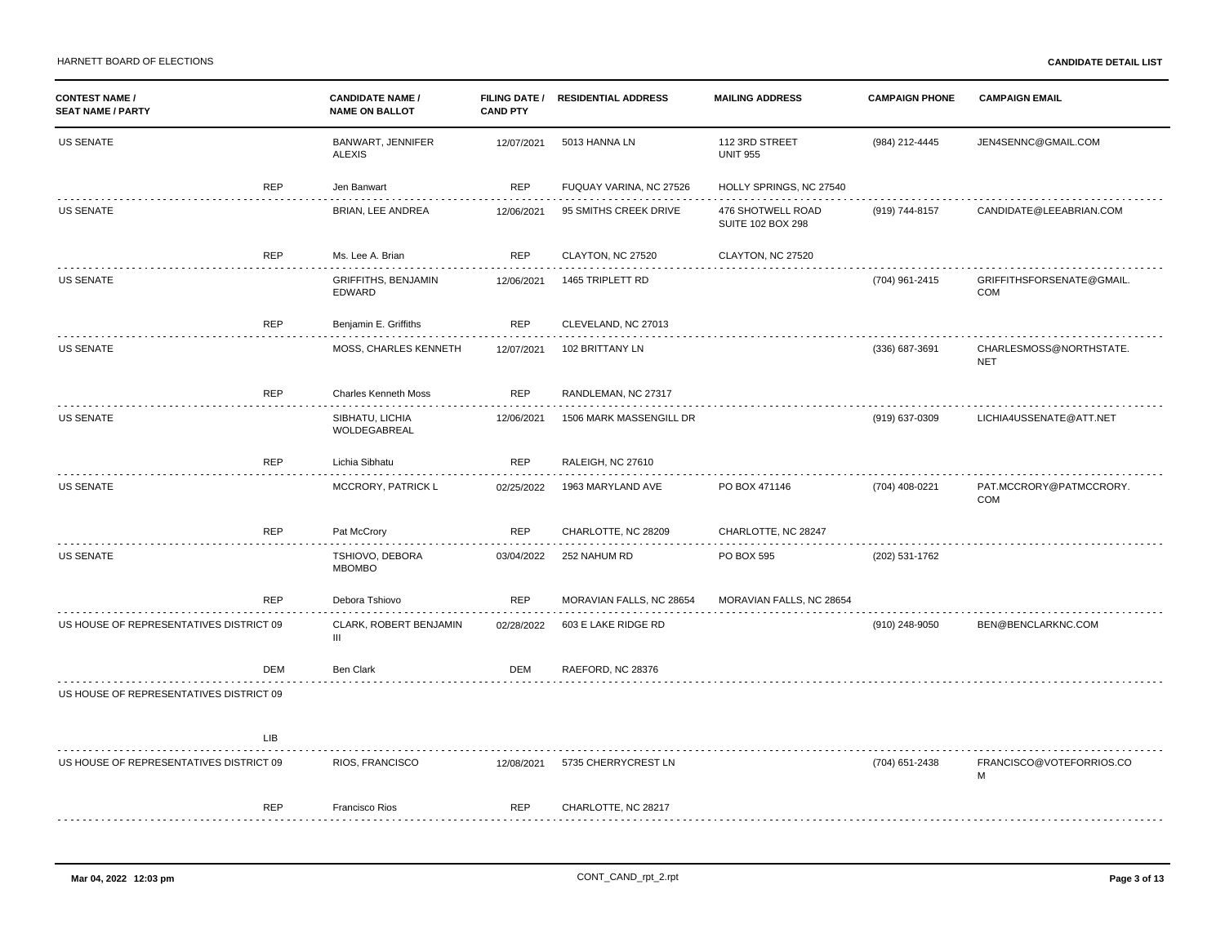| <b>CONTEST NAME /</b><br><b>SEAT NAME / PARTY</b> |            | <b>CANDIDATE NAME /</b><br><b>NAME ON BALLOT</b> | <b>CAND PTY</b> | FILING DATE / RESIDENTIAL ADDRESS | <b>MAILING ADDRESS</b>                        | <b>CAMPAIGN PHONE</b> | <b>CAMPAIGN EMAIL</b>                 |
|---------------------------------------------------|------------|--------------------------------------------------|-----------------|-----------------------------------|-----------------------------------------------|-----------------------|---------------------------------------|
| <b>US SENATE</b>                                  |            | BANWART, JENNIFER<br><b>ALEXIS</b>               | 12/07/2021      | 5013 HANNA LN                     | 112 3RD STREET<br><b>UNIT 955</b>             | (984) 212-4445        | JEN4SENNC@GMAIL.COM                   |
|                                                   | <b>REP</b> | Jen Banwart                                      | <b>REP</b>      | FUQUAY VARINA, NC 27526           | HOLLY SPRINGS, NC 27540                       |                       |                                       |
| <b>US SENATE</b>                                  |            | BRIAN, LEE ANDREA                                | 12/06/2021      | 95 SMITHS CREEK DRIVE             | 476 SHOTWELL ROAD<br><b>SUITE 102 BOX 298</b> | (919) 744-8157        | CANDIDATE@LEEABRIAN.COM               |
|                                                   | <b>REP</b> | Ms. Lee A. Brian                                 | <b>REP</b>      | CLAYTON, NC 27520                 | CLAYTON, NC 27520                             |                       |                                       |
| <b>US SENATE</b>                                  |            | <b>GRIFFITHS, BENJAMIN</b><br>EDWARD             | 12/06/2021      | 1465 TRIPLETT RD                  |                                               | (704) 961-2415        | GRIFFITHSFORSENATE@GMAIL.<br>COM      |
|                                                   | <b>REP</b> | Benjamin E. Griffiths                            | <b>REP</b>      | CLEVELAND, NC 27013               |                                               |                       |                                       |
| US SENATE                                         |            | MOSS, CHARLES KENNETH                            | 12/07/2021      | 102 BRITTANY LN                   |                                               | (336) 687-3691        | CHARLESMOSS@NORTHSTATE.<br><b>NET</b> |
|                                                   | <b>REP</b> | <b>Charles Kenneth Moss</b>                      | <b>REP</b>      | RANDLEMAN, NC 27317               |                                               |                       |                                       |
| <b>US SENATE</b>                                  |            | SIBHATU, LICHIA<br>WOLDEGABREAL                  | 12/06/2021      | 1506 MARK MASSENGILL DR           |                                               | (919) 637-0309        | LICHIA4USSENATE@ATT.NET               |
|                                                   | <b>REP</b> | Lichia Sibhatu                                   | <b>REP</b>      | RALEIGH, NC 27610                 |                                               |                       |                                       |
| <b>US SENATE</b>                                  |            | MCCRORY, PATRICK L                               | 02/25/2022      | 1963 MARYLAND AVE                 | PO BOX 471146                                 | (704) 408-0221        | PAT.MCCRORY@PATMCCRORY.<br>COM        |
|                                                   | <b>REP</b> | Pat McCrory                                      | <b>REP</b>      | CHARLOTTE, NC 28209               | CHARLOTTE, NC 28247                           |                       |                                       |
| <b>US SENATE</b>                                  |            | TSHIOVO, DEBORA<br><b>MBOMBO</b>                 | 03/04/2022      | 252 NAHUM RD                      | PO BOX 595                                    | (202) 531-1762        |                                       |
|                                                   | <b>REP</b> | Debora Tshiovo                                   | <b>REP</b>      | MORAVIAN FALLS, NC 28654          | MORAVIAN FALLS, NC 28654                      |                       |                                       |
| US HOUSE OF REPRESENTATIVES DISTRICT 09           |            | CLARK, ROBERT BENJAMIN<br>$\mathbf{III}$         | 02/28/2022      | 603 E LAKE RIDGE RD               |                                               | (910) 248-9050        | BEN@BENCLARKNC.COM                    |
|                                                   | DEM        | <b>Ben Clark</b>                                 | DEM             | RAEFORD, NC 28376                 |                                               |                       |                                       |
| US HOUSE OF REPRESENTATIVES DISTRICT 09           |            |                                                  |                 |                                   |                                               |                       |                                       |
|                                                   | LIB        |                                                  |                 |                                   |                                               |                       |                                       |
| US HOUSE OF REPRESENTATIVES DISTRICT 09           |            | RIOS, FRANCISCO                                  | 12/08/2021      | 5735 CHERRYCREST LN               |                                               | (704) 651-2438        | FRANCISCO@VOTEFORRIOS.CO<br>M         |
|                                                   | <b>REP</b> | <b>Francisco Rios</b>                            | <b>REP</b>      | CHARLOTTE, NC 28217               |                                               |                       |                                       |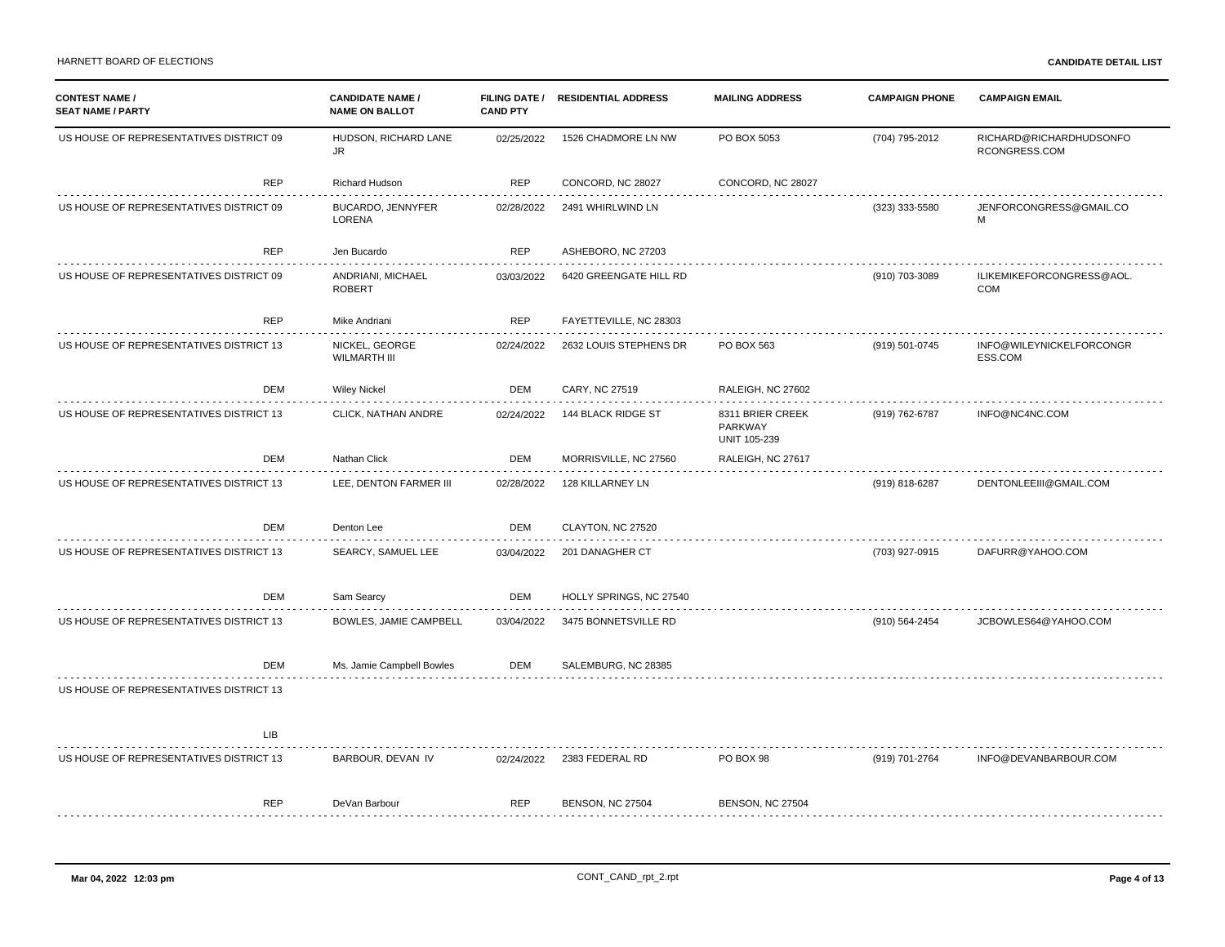| <b>CONTEST NAME /</b><br><b>SEAT NAME / PARTY</b> | <b>CANDIDATE NAME /</b><br><b>NAME ON BALLOT</b> | <b>CAND PTY</b> | FILING DATE / RESIDENTIAL ADDRESS | <b>MAILING ADDRESS</b>                             | <b>CAMPAIGN PHONE</b> | <b>CAMPAIGN EMAIL</b>                    |
|---------------------------------------------------|--------------------------------------------------|-----------------|-----------------------------------|----------------------------------------------------|-----------------------|------------------------------------------|
| US HOUSE OF REPRESENTATIVES DISTRICT 09           | HUDSON, RICHARD LANE<br>JR.                      | 02/25/2022      | 1526 CHADMORE LN NW               | PO BOX 5053                                        | (704) 795-2012        | RICHARD@RICHARDHUDSONFO<br>RCONGRESS.COM |
| <b>REP</b>                                        | Richard Hudson                                   | <b>REP</b>      | CONCORD, NC 28027                 | CONCORD, NC 28027                                  |                       |                                          |
| US HOUSE OF REPRESENTATIVES DISTRICT 09           | BUCARDO, JENNYFER<br>LORENA                      | 02/28/2022      | 2491 WHIRLWIND LN                 |                                                    | (323) 333-5580        | JENFORCONGRESS@GMAIL.CO<br>M             |
| <b>REP</b>                                        | Jen Bucardo                                      | <b>REP</b>      | ASHEBORO, NC 27203                |                                                    |                       |                                          |
| US HOUSE OF REPRESENTATIVES DISTRICT 09           | ANDRIANI, MICHAEL<br><b>ROBERT</b>               | 03/03/2022      | 6420 GREENGATE HILL RD            |                                                    | (910) 703-3089        | ILIKEMIKEFORCONGRESS@AOL<br>COM          |
| REP                                               | Mike Andriani                                    | <b>REP</b>      | FAYETTEVILLE, NC 28303            |                                                    |                       |                                          |
| US HOUSE OF REPRESENTATIVES DISTRICT 13           | NICKEL, GEORGE<br><b>WILMARTH III</b>            | 02/24/2022      | 2632 LOUIS STEPHENS DR            | PO BOX 563                                         | (919) 501-0745        | INFO@WILEYNICKELFORCONGR<br>ESS.COM      |
| DEM                                               | <b>Wiley Nickel</b>                              | DEM             | CARY, NC 27519                    | RALEIGH, NC 27602                                  |                       |                                          |
| US HOUSE OF REPRESENTATIVES DISTRICT 13           | CLICK, NATHAN ANDRE                              | 02/24/2022      | 144 BLACK RIDGE ST                | 8311 BRIER CREEK<br>PARKWAY<br><b>UNIT 105-239</b> | (919) 762-6787        | INFO@NC4NC.COM                           |
| DEM                                               | Nathan Click                                     | <b>DEM</b>      | MORRISVILLE, NC 27560             | RALEIGH, NC 27617                                  |                       |                                          |
| US HOUSE OF REPRESENTATIVES DISTRICT 13           | LEE, DENTON FARMER III                           | 02/28/2022      | 128 KILLARNEY LN                  |                                                    | (919) 818-6287        | DENTONLEEIII@GMAIL.COM                   |
| DEM                                               | Denton Lee                                       | <b>DEM</b>      | CLAYTON, NC 27520                 |                                                    |                       |                                          |
| US HOUSE OF REPRESENTATIVES DISTRICT 13           | SEARCY, SAMUEL LEE                               | 03/04/2022      | 201 DANAGHER CT                   |                                                    | (703) 927-0915        | DAFURR@YAHOO.COM                         |
| DEM                                               | Sam Searcy                                       | <b>DEM</b>      | HOLLY SPRINGS, NC 27540           |                                                    |                       |                                          |
| US HOUSE OF REPRESENTATIVES DISTRICT 13           | BOWLES, JAMIE CAMPBELL                           | 03/04/2022      | 3475 BONNETSVILLE RD              |                                                    | (910) 564-2454        | JCBOWLES64@YAHOO.COM                     |
| DEM                                               | Ms. Jamie Campbell Bowles                        | DEM             | SALEMBURG, NC 28385               |                                                    |                       |                                          |
| US HOUSE OF REPRESENTATIVES DISTRICT 13           |                                                  |                 |                                   |                                                    |                       |                                          |
| <b>LIB</b>                                        |                                                  |                 |                                   |                                                    |                       |                                          |
| US HOUSE OF REPRESENTATIVES DISTRICT 13           | BARBOUR, DEVAN IV                                | 02/24/2022      | 2383 FEDERAL RD                   | PO BOX 98                                          | (919) 701-2764        | INFO@DEVANBARBOUR.COM                    |
| <b>REP</b>                                        | DeVan Barbour                                    | <b>REP</b>      | <b>BENSON, NC 27504</b>           | <b>BENSON, NC 27504</b>                            |                       |                                          |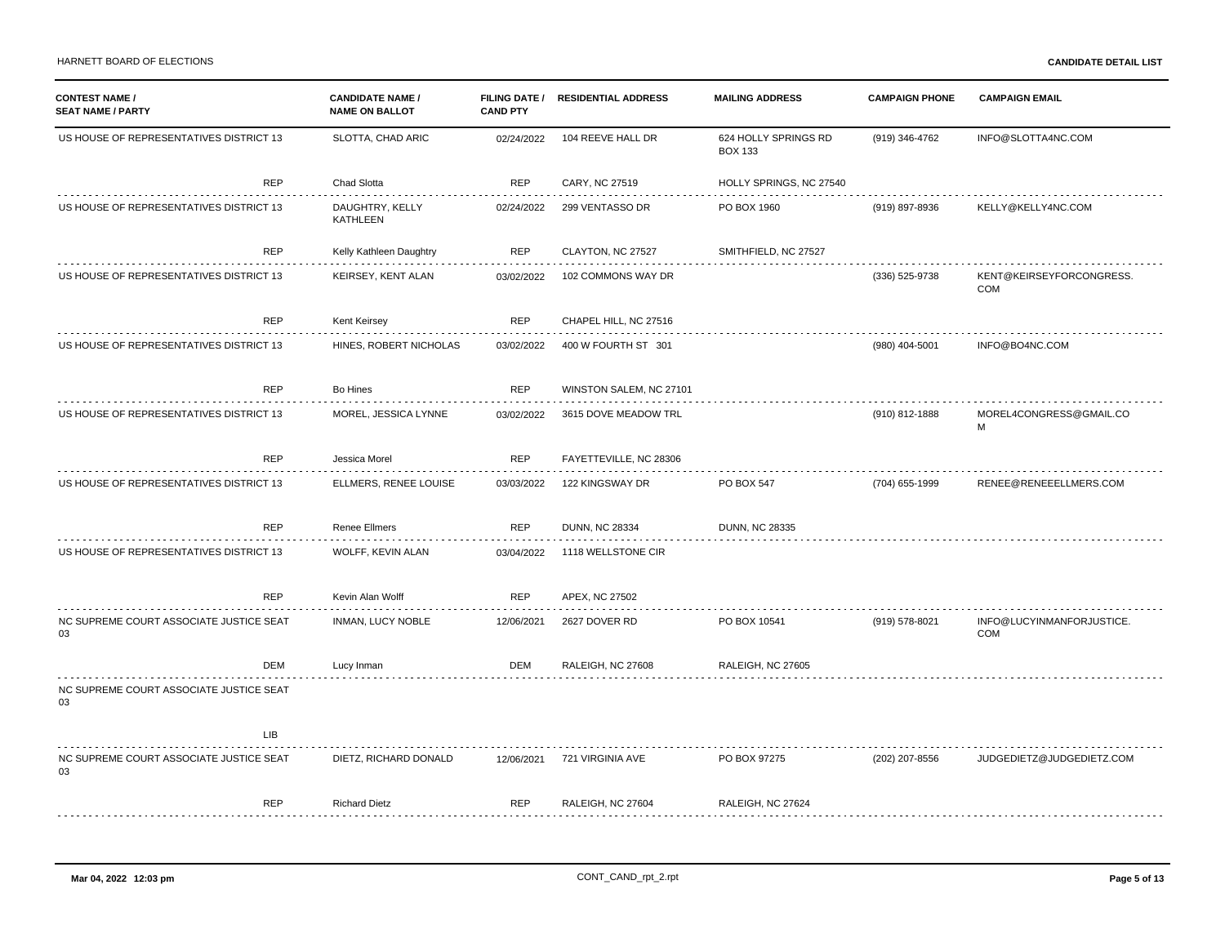| <b>CONTEST NAME /</b><br><b>SEAT NAME / PARTY</b> |            | <b>CANDIDATE NAME /</b><br><b>NAME ON BALLOT</b> | <b>CAND PTY</b> | FILING DATE / RESIDENTIAL ADDRESS | <b>MAILING ADDRESS</b>                 | <b>CAMPAIGN PHONE</b> | <b>CAMPAIGN EMAIL</b>                  |
|---------------------------------------------------|------------|--------------------------------------------------|-----------------|-----------------------------------|----------------------------------------|-----------------------|----------------------------------------|
| US HOUSE OF REPRESENTATIVES DISTRICT 13           |            | SLOTTA, CHAD ARIC                                | 02/24/2022      | 104 REEVE HALL DR                 | 624 HOLLY SPRINGS RD<br><b>BOX 133</b> | (919) 346-4762        | INFO@SLOTTA4NC.COM                     |
|                                                   | REP        | Chad Slotta                                      | <b>REP</b>      | CARY, NC 27519                    | HOLLY SPRINGS, NC 27540                |                       |                                        |
| US HOUSE OF REPRESENTATIVES DISTRICT 13           |            | DAUGHTRY, KELLY<br>KATHLEEN                      | 02/24/2022      | 299 VENTASSO DR                   | PO BOX 1960                            | (919) 897-8936        | KELLY@KELLY4NC.COM                     |
|                                                   | <b>REP</b> | Kelly Kathleen Daughtry                          | <b>REP</b>      | CLAYTON, NC 27527                 | SMITHFIELD, NC 27527                   |                       |                                        |
| US HOUSE OF REPRESENTATIVES DISTRICT 13           |            | KEIRSEY, KENT ALAN                               | 03/02/2022      | 102 COMMONS WAY DR                |                                        | (336) 525-9738        | KENT@KEIRSEYFORCONGRESS.<br><b>COM</b> |
|                                                   | REP        | Kent Keirsey                                     | <b>REP</b>      | CHAPEL HILL, NC 27516             |                                        |                       |                                        |
| US HOUSE OF REPRESENTATIVES DISTRICT 13           |            | HINES, ROBERT NICHOLAS                           | 03/02/2022      | 400 W FOURTH ST 301               |                                        | (980) 404-5001        | INFO@BO4NC.COM                         |
|                                                   | <b>REP</b> | <b>Bo Hines</b>                                  | <b>REP</b>      | WINSTON SALEM, NC 27101           |                                        |                       |                                        |
| US HOUSE OF REPRESENTATIVES DISTRICT 13           |            | MOREL, JESSICA LYNNE                             | 03/02/2022      | 3615 DOVE MEADOW TRL              |                                        | (910) 812-1888        | MOREL4CONGRESS@GMAIL.CO<br>M           |
|                                                   | REP        | Jessica Morel                                    | REP             | FAYETTEVILLE, NC 28306            |                                        |                       |                                        |
| US HOUSE OF REPRESENTATIVES DISTRICT 13           |            | ELLMERS, RENEE LOUISE                            | 03/03/2022      | 122 KINGSWAY DR                   | PO BOX 547                             | (704) 655-1999        | RENEE@RENEEELLMERS.COM                 |
|                                                   | <b>REP</b> | <b>Renee Ellmers</b>                             | <b>REP</b>      | <b>DUNN, NC 28334</b>             | <b>DUNN, NC 28335</b>                  |                       |                                        |
| US HOUSE OF REPRESENTATIVES DISTRICT 13           |            | WOLFF, KEVIN ALAN                                | 03/04/2022      | 1118 WELLSTONE CIR                |                                        |                       |                                        |
|                                                   | <b>REP</b> | Kevin Alan Wolff                                 | <b>REP</b>      | APEX, NC 27502                    |                                        |                       |                                        |
| NC SUPREME COURT ASSOCIATE JUSTICE SEAT<br>03     |            | INMAN, LUCY NOBLE                                | 12/06/2021      | 2627 DOVER RD                     | PO BOX 10541                           | (919) 578-8021        | INFO@LUCYINMANFORJUSTICE.<br>COM       |
|                                                   | DEM        | Lucy Inman                                       | DEM             | <b>RALEIGH, NC 27608</b>          | <b>RALEIGH, NC 27605</b>               |                       |                                        |
| NC SUPREME COURT ASSOCIATE JUSTICE SEAT<br>03     |            |                                                  |                 |                                   |                                        |                       |                                        |
|                                                   | LIB        |                                                  |                 |                                   |                                        |                       |                                        |
| NC SUPREME COURT ASSOCIATE JUSTICE SEAT<br>03     |            | DIETZ, RICHARD DONALD                            | 12/06/2021      | 721 VIRGINIA AVE                  | PO BOX 97275                           | (202) 207-8556        | JUDGEDIETZ@JUDGEDIETZ.COM              |
|                                                   | <b>REP</b> | <b>Richard Dietz</b>                             | <b>REP</b>      | <b>RALEIGH, NC 27604</b>          | RALEIGH, NC 27624                      |                       |                                        |
|                                                   |            |                                                  |                 |                                   |                                        |                       |                                        |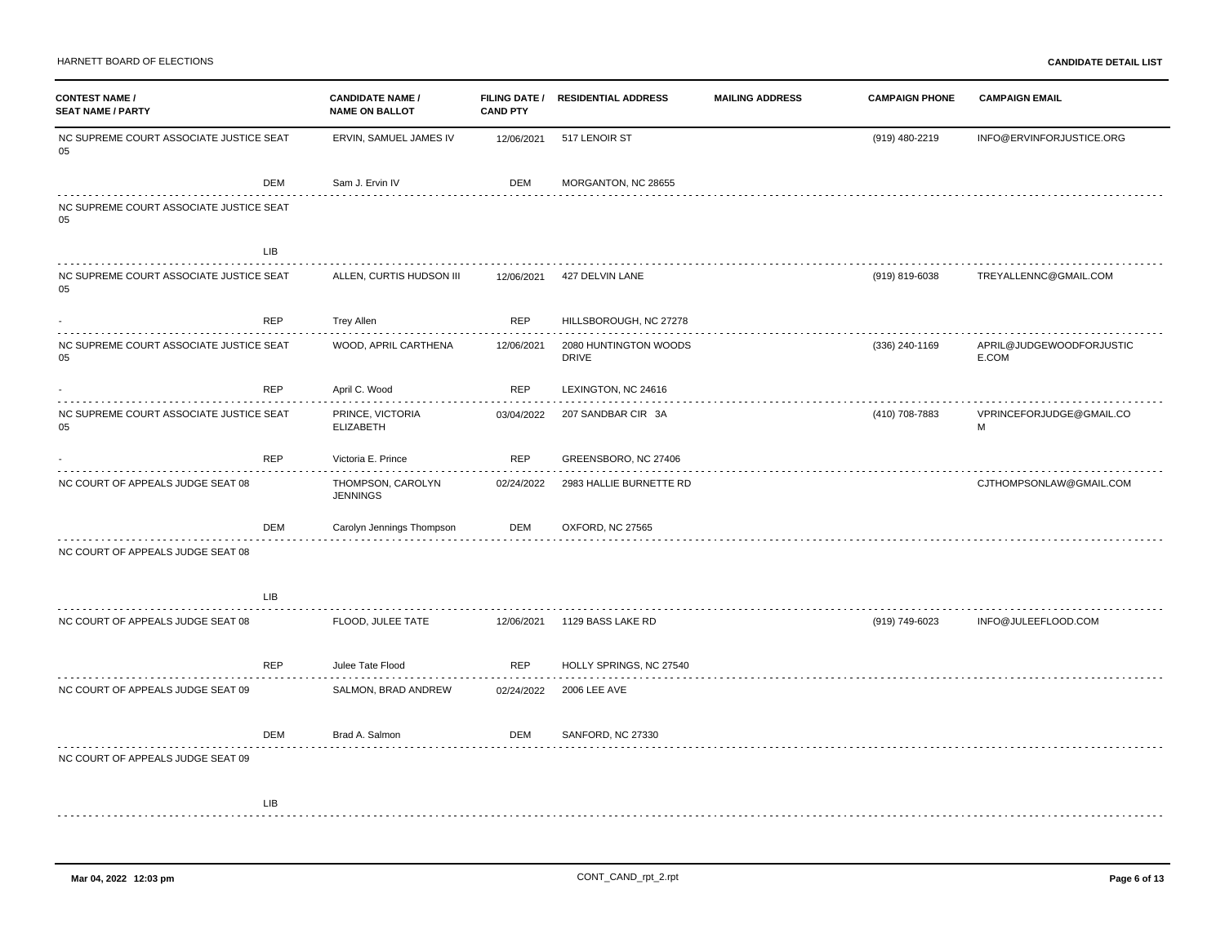| <b>CONTEST NAME /</b><br><b>SEAT NAME / PARTY</b> |            | <b>CANDIDATE NAME /</b><br><b>NAME ON BALLOT</b> | <b>CAND PTY</b> | FILING DATE / RESIDENTIAL ADDRESS          | <b>MAILING ADDRESS</b> | <b>CAMPAIGN PHONE</b> | <b>CAMPAIGN EMAIL</b>             |
|---------------------------------------------------|------------|--------------------------------------------------|-----------------|--------------------------------------------|------------------------|-----------------------|-----------------------------------|
| NC SUPREME COURT ASSOCIATE JUSTICE SEAT<br>05     |            | ERVIN, SAMUEL JAMES IV                           | 12/06/2021      | 517 LENOIR ST                              |                        | (919) 480-2219        | INFO@ERVINFORJUSTICE.ORG          |
|                                                   | <b>DEM</b> | Sam J. Ervin IV                                  | <b>DEM</b>      | MORGANTON, NC 28655                        |                        |                       |                                   |
| NC SUPREME COURT ASSOCIATE JUSTICE SEAT<br>05     |            |                                                  |                 |                                            |                        |                       |                                   |
|                                                   | <b>LIB</b> |                                                  |                 |                                            |                        |                       |                                   |
| NC SUPREME COURT ASSOCIATE JUSTICE SEAT<br>05     |            | ALLEN, CURTIS HUDSON III                         | 12/06/2021      | 427 DELVIN LANE                            |                        | (919) 819-6038        | TREYALLENNC@GMAIL.COM             |
|                                                   | REP        | <b>Trey Allen</b>                                | <b>REP</b>      | HILLSBOROUGH, NC 27278                     |                        |                       |                                   |
| NC SUPREME COURT ASSOCIATE JUSTICE SEAT<br>05     |            | WOOD, APRIL CARTHENA                             | 12/06/2021      | .<br>2080 HUNTINGTON WOODS<br><b>DRIVE</b> |                        | (336) 240-1169        | APRIL@JUDGEWOODFORJUSTIC<br>E.COM |
|                                                   | REP        | April C. Wood                                    | <b>REP</b>      | LEXINGTON, NC 24616                        |                        |                       |                                   |
| NC SUPREME COURT ASSOCIATE JUSTICE SEAT<br>05     |            | PRINCE, VICTORIA<br><b>ELIZABETH</b>             | 03/04/2022      | 207 SANDBAR CIR 3A                         |                        | (410) 708-7883        | VPRINCEFORJUDGE@GMAIL.CO<br>M     |
|                                                   | REP        | Victoria E. Prince                               | <b>REP</b>      | GREENSBORO, NC 27406                       |                        |                       |                                   |
| NC COURT OF APPEALS JUDGE SEAT 08                 |            | THOMPSON, CAROLYN<br><b>JENNINGS</b>             | 02/24/2022      | 2983 HALLIE BURNETTE RD                    |                        |                       | CJTHOMPSONLAW@GMAIL.COM           |
|                                                   | DEM        | Carolyn Jennings Thompson                        | DEM             | OXFORD, NC 27565                           |                        |                       |                                   |
| NC COURT OF APPEALS JUDGE SEAT 08                 |            |                                                  |                 |                                            |                        |                       |                                   |
|                                                   | <b>LIB</b> |                                                  |                 |                                            |                        |                       |                                   |
| NC COURT OF APPEALS JUDGE SEAT 08                 |            | FLOOD, JULEE TATE                                | 12/06/2021      | 1129 BASS LAKE RD                          |                        | (919) 749-6023        | INFO@JULEEFLOOD.COM               |
|                                                   | <b>REP</b> | Julee Tate Flood                                 | <b>REP</b>      | HOLLY SPRINGS, NC 27540                    |                        |                       |                                   |
| NC COURT OF APPEALS JUDGE SEAT 09                 |            | SALMON, BRAD ANDREW                              | 02/24/2022      | <b>2006 LEE AVE</b>                        |                        |                       |                                   |
|                                                   | DEM        | Brad A. Salmon<br>and the state of the state of  | DEM             | SANFORD, NC 27330                          |                        |                       |                                   |
| NC COURT OF APPEALS JUDGE SEAT 09                 |            |                                                  |                 |                                            |                        |                       |                                   |
|                                                   |            |                                                  |                 |                                            |                        |                       |                                   |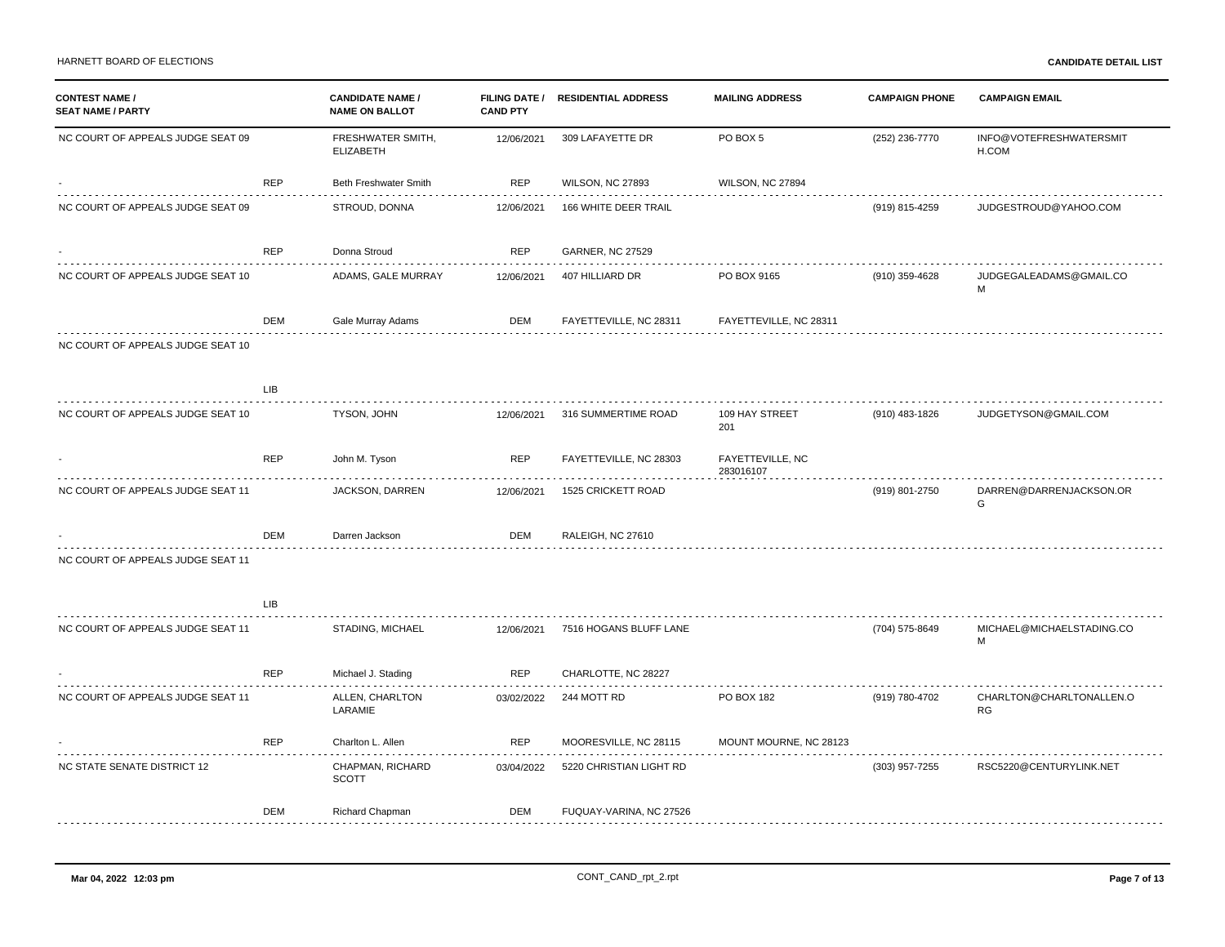| <b>CONTEST NAME /</b><br><b>SEAT NAME / PARTY</b> |            | <b>CANDIDATE NAME /</b><br><b>NAME ON BALLOT</b> | <b>FILING DATE /</b><br><b>CAND PTY</b> | <b>RESIDENTIAL ADDRESS</b> | <b>MAILING ADDRESS</b>        | <b>CAMPAIGN PHONE</b> | <b>CAMPAIGN EMAIL</b>                 |
|---------------------------------------------------|------------|--------------------------------------------------|-----------------------------------------|----------------------------|-------------------------------|-----------------------|---------------------------------------|
| NC COURT OF APPEALS JUDGE SEAT 09                 |            | FRESHWATER SMITH,<br><b>ELIZABETH</b>            | 12/06/2021                              | 309 LAFAYETTE DR           | PO BOX 5                      | (252) 236-7770        | INFO@VOTEFRESHWATERSMIT<br>H.COM      |
|                                                   | <b>REP</b> | Beth Freshwater Smith                            | <b>REP</b>                              | <b>WILSON, NC 27893</b>    | WILSON, NC 27894              |                       |                                       |
| NC COURT OF APPEALS JUDGE SEAT 09                 |            | STROUD, DONNA                                    | 12/06/2021                              | 166 WHITE DEER TRAIL       |                               | (919) 815-4259        | JUDGESTROUD@YAHOO.COM                 |
|                                                   | <b>REP</b> | Donna Stroud                                     | REP                                     | <b>GARNER, NC 27529</b>    |                               |                       |                                       |
| NC COURT OF APPEALS JUDGE SEAT 10                 |            | ADAMS, GALE MURRAY                               | 12/06/2021                              | 407 HILLIARD DR            | PO BOX 9165                   | (910) 359-4628        | JUDGEGALEADAMS@GMAIL.CO<br>M          |
|                                                   | DEM        | Gale Murray Adams                                | DEM                                     | FAYETTEVILLE, NC 28311     | FAYETTEVILLE, NC 28311        |                       |                                       |
| NC COURT OF APPEALS JUDGE SEAT 10                 |            |                                                  |                                         |                            |                               |                       |                                       |
|                                                   | <b>LIB</b> |                                                  |                                         |                            |                               |                       |                                       |
| NC COURT OF APPEALS JUDGE SEAT 10                 |            | TYSON, JOHN                                      | 12/06/2021                              | 316 SUMMERTIME ROAD        | 109 HAY STREET<br>201         | (910) 483-1826        | JUDGETYSON@GMAIL.COM                  |
|                                                   | <b>REP</b> | John M. Tyson                                    | <b>REP</b>                              | FAYETTEVILLE, NC 28303     | FAYETTEVILLE, NC<br>283016107 |                       |                                       |
| NC COURT OF APPEALS JUDGE SEAT 11                 |            | JACKSON, DARREN                                  | 12/06/2021                              | 1525 CRICKETT ROAD         |                               | (919) 801-2750        | DARREN@DARRENJACKSON.OR<br>G          |
|                                                   | DEM        | Darren Jackson                                   | DEM                                     | RALEIGH, NC 27610          |                               |                       |                                       |
| NC COURT OF APPEALS JUDGE SEAT 11                 |            |                                                  |                                         |                            |                               |                       |                                       |
|                                                   | <b>LIB</b> |                                                  |                                         |                            |                               |                       |                                       |
| NC COURT OF APPEALS JUDGE SEAT 11                 |            | STADING, MICHAEL                                 | 12/06/2021                              | 7516 HOGANS BLUFF LANE     |                               | (704) 575-8649        | MICHAEL@MICHAELSTADING.CO<br>M        |
|                                                   | <b>REP</b> | Michael J. Stading                               | <b>REP</b>                              | CHARLOTTE, NC 28227        |                               |                       |                                       |
| NC COURT OF APPEALS JUDGE SEAT 11                 |            | ALLEN, CHARLTON<br>LARAMIE                       | 03/02/2022                              | 244 MOTT RD                | PO BOX 182                    | (919) 780-4702        | CHARLTON@CHARLTONALLEN.O<br><b>RG</b> |
|                                                   | <b>REP</b> | Charlton L. Allen                                | REP                                     | MOORESVILLE, NC 28115      | MOUNT MOURNE, NC 28123        |                       |                                       |
| NC STATE SENATE DISTRICT 12                       |            | CHAPMAN, RICHARD<br><b>SCOTT</b>                 | 03/04/2022                              | 5220 CHRISTIAN LIGHT RD    |                               | (303) 957-7255        | RSC5220@CENTURYLINK.NET               |
|                                                   | DEM        | Richard Chapman                                  | DEM                                     | FUQUAY-VARINA, NC 27526    |                               |                       |                                       |
|                                                   |            |                                                  |                                         |                            |                               |                       |                                       |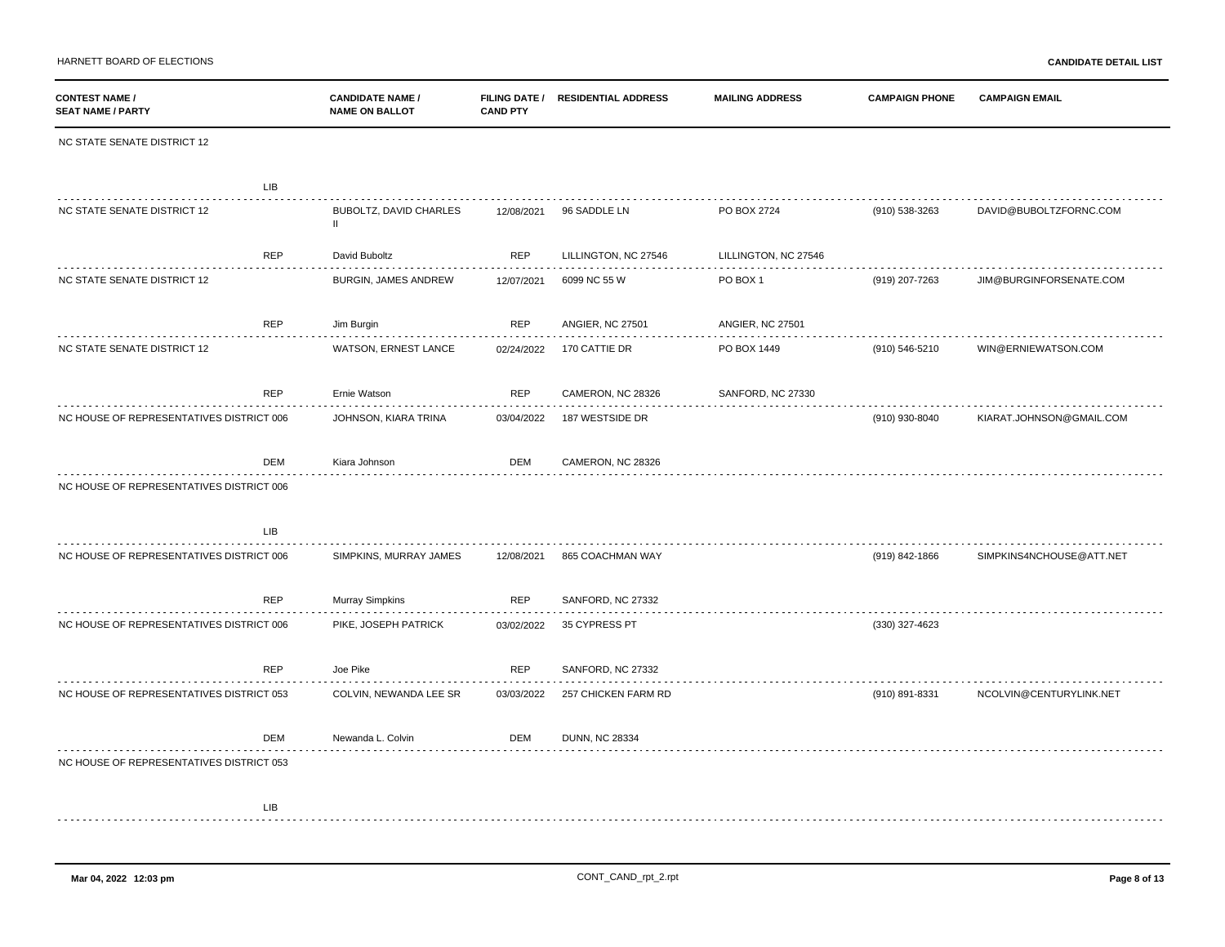HARNETT BOARD OF ELECTIONS **CANDIDATE DETAIL LIST**

| <b>CONTEST NAME /</b><br><b>SEAT NAME / PARTY</b> | <b>CANDIDATE NAME /</b><br><b>NAME ON BALLOT</b> | <b>CAND PTY</b> | FILING DATE / RESIDENTIAL ADDRESS | <b>MAILING ADDRESS</b>  | <b>CAMPAIGN PHONE</b> | <b>CAMPAIGN EMAIL</b>    |
|---------------------------------------------------|--------------------------------------------------|-----------------|-----------------------------------|-------------------------|-----------------------|--------------------------|
| NC STATE SENATE DISTRICT 12                       |                                                  |                 |                                   |                         |                       |                          |
| <b>LIB</b>                                        |                                                  |                 |                                   |                         |                       |                          |
| NC STATE SENATE DISTRICT 12                       | <b>BUBOLTZ, DAVID CHARLES</b><br>$\mathbf{II}$   | 12/08/2021      | 96 SADDLE LN                      | PO BOX 2724             | (910) 538-3263        | DAVID@BUBOLTZFORNC.COM   |
| <b>REP</b>                                        | David Buboltz                                    | <b>REP</b>      | LILLINGTON, NC 27546              | LILLINGTON, NC 27546    |                       |                          |
| NC STATE SENATE DISTRICT 12                       | BURGIN, JAMES ANDREW                             | 12/07/2021      | 6099 NC 55 W                      | PO BOX 1                | (919) 207-7263        | JIM@BURGINFORSENATE.COM  |
| REP                                               | Jim Burgin                                       | REP             | <b>ANGIER, NC 27501</b>           | <b>ANGIER, NC 27501</b> |                       |                          |
| NC STATE SENATE DISTRICT 12                       | WATSON, ERNEST LANCE                             | 02/24/2022      | 170 CATTIE DR                     | PO BOX 1449             | (910) 546-5210        | WIN@ERNIEWATSON.COM      |
| <b>REP</b>                                        | Ernie Watson                                     | <b>REP</b>      | CAMERON, NC 28326                 | SANFORD, NC 27330       |                       |                          |
| NC HOUSE OF REPRESENTATIVES DISTRICT 006          | JOHNSON, KIARA TRINA                             | 03/04/2022      | 187 WESTSIDE DR                   |                         | (910) 930-8040        | KIARAT.JOHNSON@GMAIL.COM |
| DEM                                               | Kiara Johnson                                    | DEM             | CAMERON, NC 28326                 |                         |                       |                          |
| NC HOUSE OF REPRESENTATIVES DISTRICT 006          |                                                  |                 |                                   |                         |                       |                          |
| LIB                                               |                                                  |                 |                                   |                         |                       |                          |
| NC HOUSE OF REPRESENTATIVES DISTRICT 006          | SIMPKINS, MURRAY JAMES                           | 12/08/2021      | 865 COACHMAN WAY                  |                         | (919) 842-1866        | SIMPKINS4NCHOUSE@ATT.NET |
| <b>REP</b>                                        | <b>Murray Simpkins</b>                           | <b>REP</b>      | SANFORD, NC 27332                 |                         |                       |                          |
| NC HOUSE OF REPRESENTATIVES DISTRICT 006          | PIKE, JOSEPH PATRICK                             | 03/02/2022      | 35 CYPRESS PT                     |                         | (330) 327-4623        |                          |
| REP                                               | Joe Pike                                         | REP             | SANFORD, NC 27332                 |                         |                       |                          |
| NC HOUSE OF REPRESENTATIVES DISTRICT 053          | COLVIN, NEWANDA LEE SR                           | 03/03/2022      | 257 CHICKEN FARM RD               |                         | (910) 891-8331        | NCOLVIN@CENTURYLINK.NET  |
| DEM                                               | Newanda L. Colvin                                | DEM             | <b>DUNN, NC 28334</b>             |                         |                       |                          |
| NC HOUSE OF REPRESENTATIVES DISTRICT 053          |                                                  |                 |                                   |                         |                       |                          |
| <b>LIB</b>                                        |                                                  |                 |                                   |                         |                       |                          |
|                                                   |                                                  |                 |                                   |                         |                       |                          |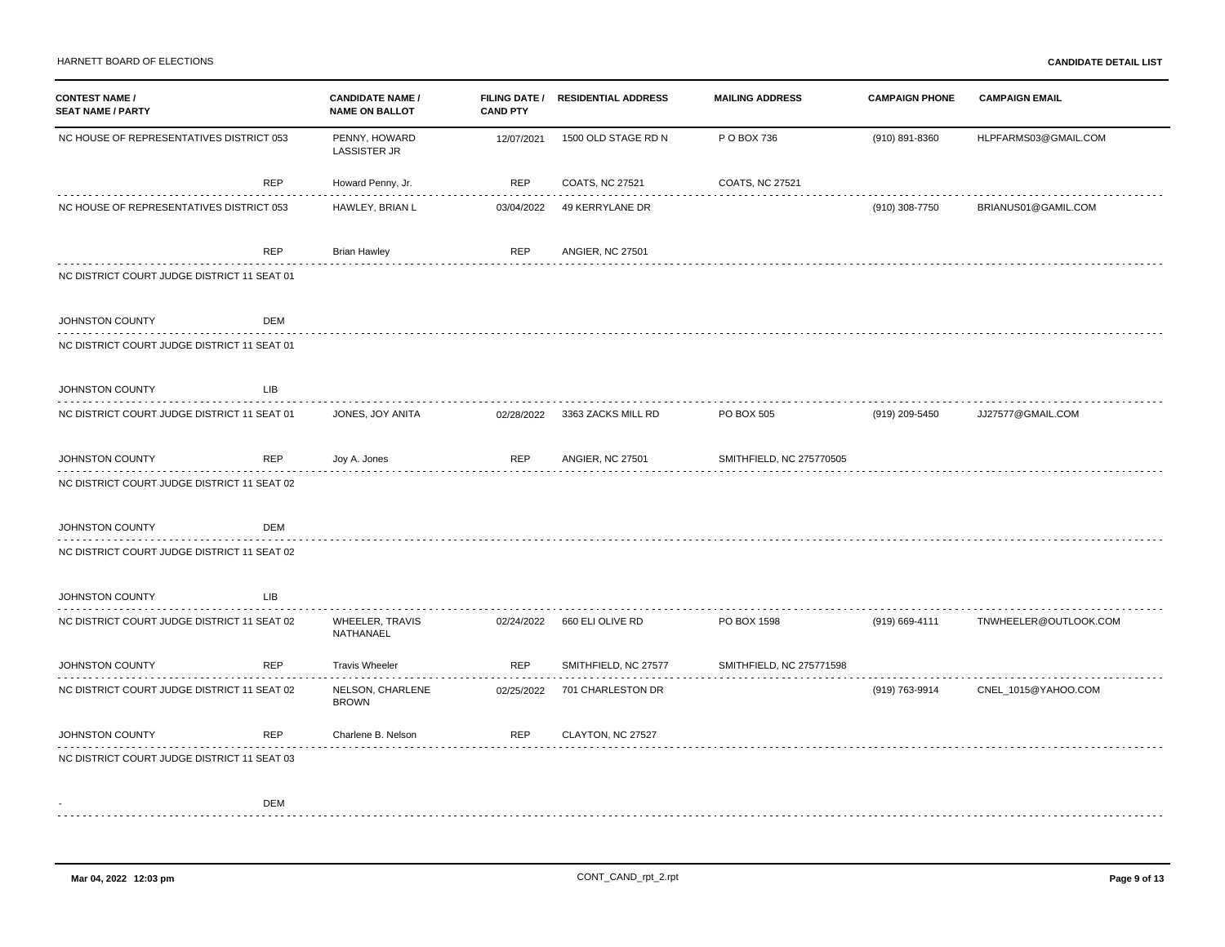| <b>CONTEST NAME /</b><br><b>SEAT NAME / PARTY</b> |            | <b>CANDIDATE NAME /</b><br><b>NAME ON BALLOT</b> | <b>CAND PTY</b> | FILING DATE / RESIDENTIAL ADDRESS | <b>MAILING ADDRESS</b>   | <b>CAMPAIGN PHONE</b> | <b>CAMPAIGN EMAIL</b> |
|---------------------------------------------------|------------|--------------------------------------------------|-----------------|-----------------------------------|--------------------------|-----------------------|-----------------------|
| NC HOUSE OF REPRESENTATIVES DISTRICT 053          |            | PENNY, HOWARD<br><b>LASSISTER JR</b>             | 12/07/2021      | 1500 OLD STAGE RD N               | P O BOX 736              | (910) 891-8360        | HLPFARMS03@GMAIL.COM  |
|                                                   | <b>REP</b> | Howard Penny, Jr.                                | <b>REP</b>      | COATS, NC 27521                   | <b>COATS, NC 27521</b>   |                       |                       |
| NC HOUSE OF REPRESENTATIVES DISTRICT 053          |            | HAWLEY, BRIAN L                                  | 03/04/2022      | 49 KERRYLANE DR                   |                          | (910) 308-7750        | BRIANUS01@GAMIL.COM   |
|                                                   | <b>REP</b> | <b>Brian Hawley</b>                              | <b>REP</b>      | <b>ANGIER, NC 27501</b>           |                          |                       |                       |
| NC DISTRICT COURT JUDGE DISTRICT 11 SEAT 01       |            |                                                  |                 |                                   |                          |                       |                       |
| JOHNSTON COUNTY                                   | <b>DEM</b> |                                                  |                 |                                   |                          |                       |                       |
| NC DISTRICT COURT JUDGE DISTRICT 11 SEAT 01       |            |                                                  |                 |                                   |                          |                       |                       |
| JOHNSTON COUNTY<br>.                              | <b>LIB</b> |                                                  |                 |                                   |                          |                       |                       |
| NC DISTRICT COURT JUDGE DISTRICT 11 SEAT 01       |            | JONES, JOY ANITA                                 | 02/28/2022      | 3363 ZACKS MILL RD                | PO BOX 505               | (919) 209-5450        | JJ27577@GMAIL.COM     |
| JOHNSTON COUNTY                                   | <b>REP</b> | Joy A. Jones                                     | <b>REP</b>      | <b>ANGIER, NC 27501</b>           | SMITHFIELD, NC 275770505 |                       |                       |
| NC DISTRICT COURT JUDGE DISTRICT 11 SEAT 02       |            |                                                  |                 |                                   |                          |                       |                       |
| JOHNSTON COUNTY                                   | DEM        |                                                  |                 |                                   |                          |                       |                       |
| NC DISTRICT COURT JUDGE DISTRICT 11 SEAT 02       |            |                                                  |                 |                                   |                          |                       |                       |
| JOHNSTON COUNTY                                   | <b>LIB</b> |                                                  |                 |                                   |                          |                       |                       |
| NC DISTRICT COURT JUDGE DISTRICT 11 SEAT 02       |            | WHEELER, TRAVIS<br>NATHANAEL                     | 02/24/2022      | 660 ELI OLIVE RD                  | PO BOX 1598              | (919) 669-4111        | TNWHEELER@OUTLOOK.COM |
| JOHNSTON COUNTY                                   | <b>REP</b> | <b>Travis Wheeler</b>                            | <b>REP</b>      | SMITHFIELD, NC 27577              | SMITHFIELD, NC 275771598 |                       |                       |
| NC DISTRICT COURT JUDGE DISTRICT 11 SEAT 02       |            | NELSON, CHARLENE<br><b>BROWN</b>                 | 02/25/2022      | 701 CHARLESTON DR                 |                          | (919) 763-9914        | CNEL_1015@YAHOO.COM   |
| JOHNSTON COUNTY                                   | <b>REP</b> | Charlene B. Nelson                               | <b>REP</b>      | CLAYTON, NC 27527                 |                          |                       |                       |
| NC DISTRICT COURT JUDGE DISTRICT 11 SEAT 03       |            |                                                  |                 |                                   |                          |                       |                       |
|                                                   | DEM        |                                                  |                 |                                   |                          |                       |                       |
|                                                   |            |                                                  |                 |                                   |                          |                       |                       |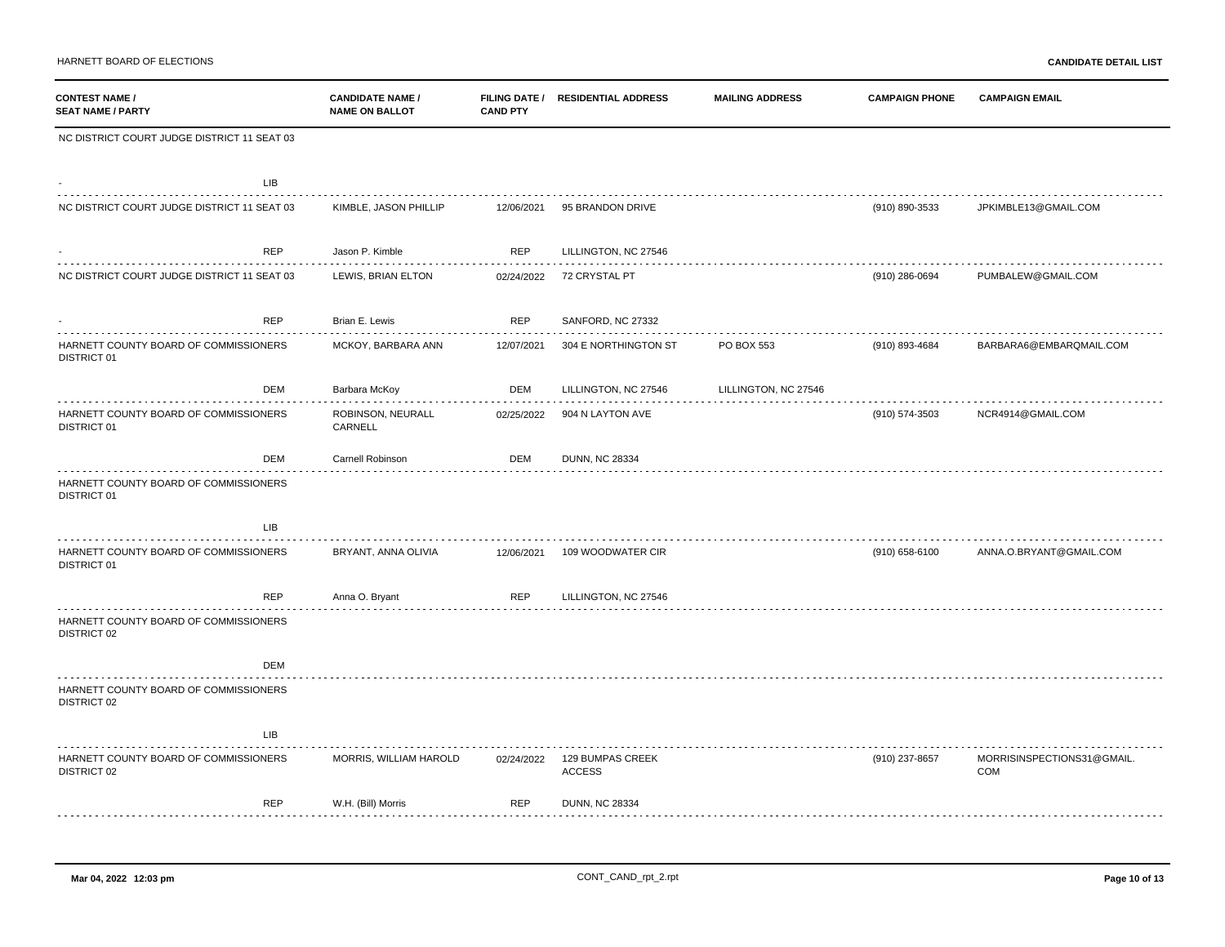| <b>CONTEST NAME /</b><br><b>SEAT NAME / PARTY</b>    |            | <b>CANDIDATE NAME /</b><br><b>NAME ON BALLOT</b> | <b>CAND PTY</b> | FILING DATE / RESIDENTIAL ADDRESS | <b>MAILING ADDRESS</b> | <b>CAMPAIGN PHONE</b> | <b>CAMPAIGN EMAIL</b>             |
|------------------------------------------------------|------------|--------------------------------------------------|-----------------|-----------------------------------|------------------------|-----------------------|-----------------------------------|
| NC DISTRICT COURT JUDGE DISTRICT 11 SEAT 03          |            |                                                  |                 |                                   |                        |                       |                                   |
|                                                      | LIB        |                                                  |                 |                                   |                        |                       |                                   |
| NC DISTRICT COURT JUDGE DISTRICT 11 SEAT 03          |            | KIMBLE, JASON PHILLIP                            | 12/06/2021      | 95 BRANDON DRIVE                  |                        | (910) 890-3533        | JPKIMBLE13@GMAIL.COM              |
|                                                      | <b>REP</b> | Jason P. Kimble                                  | <b>REP</b>      | LILLINGTON, NC 27546              |                        |                       |                                   |
| NC DISTRICT COURT JUDGE DISTRICT 11 SEAT 03          |            | LEWIS, BRIAN ELTON                               | 02/24/2022      | 72 CRYSTAL PT                     |                        | $(910)$ 286-0694      | PUMBALEW@GMAIL.COM                |
|                                                      | REP        | Brian E. Lewis                                   | REP             | SANFORD, NC 27332<br>.            |                        |                       |                                   |
| HARNETT COUNTY BOARD OF COMMISSIONERS<br>DISTRICT 01 |            | MCKOY, BARBARA ANN                               | 12/07/2021      | 304 E NORTHINGTON ST              | PO BOX 553             | (910) 893-4684        | BARBARA6@EMBARQMAIL.COM           |
|                                                      | <b>DEM</b> | Barbara McKoy                                    | DEM             | LILLINGTON, NC 27546              | LILLINGTON, NC 27546   |                       |                                   |
| HARNETT COUNTY BOARD OF COMMISSIONERS<br>DISTRICT 01 |            | ROBINSON, NEURALL<br>CARNELL                     | 02/25/2022      | 904 N LAYTON AVE                  |                        | (910) 574-3503        | NCR4914@GMAIL.COM                 |
|                                                      | DEM        | Carnell Robinson                                 | DEM             | <b>DUNN, NC 28334</b>             |                        |                       |                                   |
| HARNETT COUNTY BOARD OF COMMISSIONERS<br>DISTRICT 01 |            |                                                  |                 |                                   |                        |                       |                                   |
|                                                      | LIB        |                                                  |                 |                                   |                        |                       |                                   |
| HARNETT COUNTY BOARD OF COMMISSIONERS<br>DISTRICT 01 |            | BRYANT, ANNA OLIVIA                              | 12/06/2021      | 109 WOODWATER CIR                 |                        | (910) 658-6100        | ANNA.O.BRYANT@GMAIL.COM           |
|                                                      | <b>REP</b> | Anna O. Bryant                                   | <b>REP</b>      | LILLINGTON, NC 27546              |                        |                       |                                   |
| HARNETT COUNTY BOARD OF COMMISSIONERS<br>DISTRICT 02 |            |                                                  |                 |                                   |                        |                       |                                   |
|                                                      | <b>DEM</b> |                                                  |                 |                                   |                        |                       |                                   |
| HARNETT COUNTY BOARD OF COMMISSIONERS<br>DISTRICT 02 |            |                                                  |                 |                                   |                        |                       |                                   |
|                                                      | LIB        |                                                  |                 |                                   |                        |                       |                                   |
| HARNETT COUNTY BOARD OF COMMISSIONERS<br>DISTRICT 02 |            | MORRIS, WILLIAM HAROLD                           | 02/24/2022      | 129 BUMPAS CREEK<br><b>ACCESS</b> |                        | (910) 237-8657        | MORRISINSPECTIONS31@GMAIL.<br>COM |
|                                                      | <b>REP</b> | W.H. (Bill) Morris                               | <b>REP</b>      | <b>DUNN, NC 28334</b>             |                        |                       |                                   |
|                                                      |            |                                                  |                 |                                   |                        |                       |                                   |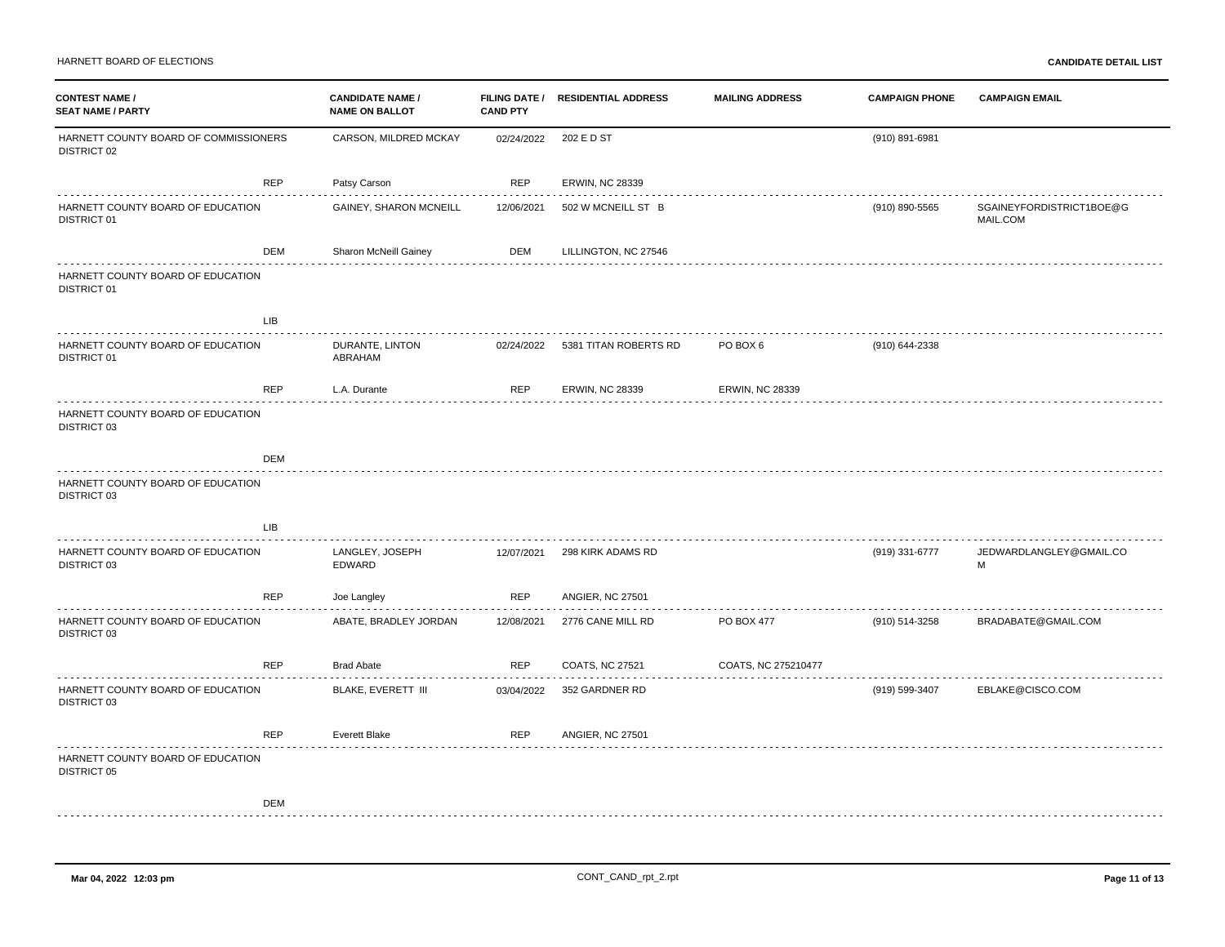HARNETT BOARD OF ELECTIONS **CANDIDATE DETAIL LIST**

| <b>CONTEST NAME /</b><br><b>SEAT NAME / PARTY</b>       |            | <b>CANDIDATE NAME /</b><br><b>NAME ON BALLOT</b> | <b>CAND PTY</b> | FILING DATE / RESIDENTIAL ADDRESS | <b>MAILING ADDRESS</b> | <b>CAMPAIGN PHONE</b> | <b>CAMPAIGN EMAIL</b>                |
|---------------------------------------------------------|------------|--------------------------------------------------|-----------------|-----------------------------------|------------------------|-----------------------|--------------------------------------|
| HARNETT COUNTY BOARD OF COMMISSIONERS<br>DISTRICT 02    |            | CARSON, MILDRED MCKAY                            | 02/24/2022      | 202 E D ST                        |                        | (910) 891-6981        |                                      |
|                                                         | <b>REP</b> | Patsy Carson                                     | <b>REP</b>      | <b>ERWIN, NC 28339</b>            |                        |                       |                                      |
| HARNETT COUNTY BOARD OF EDUCATION<br>DISTRICT 01        |            | GAINEY, SHARON MCNEILL                           | 12/06/2021      | 502 W MCNEILL ST B                |                        | (910) 890-5565        | SGAINEYFORDISTRICT1BOE@G<br>MAIL.COM |
|                                                         | DEM        | Sharon McNeill Gainey                            | DEM             | LILLINGTON, NC 27546              |                        |                       |                                      |
| HARNETT COUNTY BOARD OF EDUCATION<br><b>DISTRICT 01</b> |            |                                                  |                 |                                   |                        |                       |                                      |
|                                                         | <b>LIB</b> |                                                  |                 |                                   |                        |                       |                                      |
| HARNETT COUNTY BOARD OF EDUCATION<br>DISTRICT 01        |            | DURANTE, LINTON<br>ABRAHAM                       | 02/24/2022      | 5381 TITAN ROBERTS RD             | PO BOX 6               | (910) 644-2338        |                                      |
|                                                         | <b>REP</b> | L.A. Durante                                     | <b>REP</b>      | <b>ERWIN, NC 28339</b>            | <b>ERWIN, NC 28339</b> |                       |                                      |
| HARNETT COUNTY BOARD OF EDUCATION<br>DISTRICT 03        |            |                                                  |                 |                                   |                        |                       |                                      |
|                                                         | <b>DEM</b> |                                                  |                 |                                   |                        |                       |                                      |
| HARNETT COUNTY BOARD OF EDUCATION<br>DISTRICT 03        |            |                                                  |                 |                                   |                        |                       |                                      |
|                                                         | <b>LIB</b> |                                                  |                 |                                   |                        |                       |                                      |
| HARNETT COUNTY BOARD OF EDUCATION<br>DISTRICT 03        |            | LANGLEY, JOSEPH<br>EDWARD                        | 12/07/2021      | 298 KIRK ADAMS RD                 |                        | (919) 331-6777        | JEDWARDLANGLEY@GMAIL.CO<br>М         |
|                                                         | <b>REP</b> | Joe Langley                                      | <b>REP</b>      | <b>ANGIER, NC 27501</b>           |                        |                       |                                      |
| HARNETT COUNTY BOARD OF EDUCATION<br>DISTRICT 03        |            | ABATE, BRADLEY JORDAN                            | 12/08/2021      | 2776 CANE MILL RD                 | PO BOX 477             | (910) 514-3258        | BRADABATE@GMAIL.COM                  |
|                                                         | <b>REP</b> | <b>Brad Abate</b>                                | <b>REP</b>      | COATS, NC 27521                   | COATS, NC 275210477    |                       |                                      |
| HARNETT COUNTY BOARD OF EDUCATION<br>DISTRICT 03        |            | BLAKE, EVERETT III                               | 03/04/2022      | 352 GARDNER RD                    |                        | (919) 599-3407        | EBLAKE@CISCO.COM                     |
|                                                         | <b>REP</b> | Everett Blake                                    | <b>REP</b>      | <b>ANGIER, NC 27501</b>           |                        |                       |                                      |
| HARNETT COUNTY BOARD OF EDUCATION<br>DISTRICT 05        |            |                                                  |                 |                                   |                        |                       |                                      |
|                                                         | <b>DEM</b> |                                                  |                 |                                   |                        |                       |                                      |
|                                                         |            |                                                  |                 |                                   |                        |                       |                                      |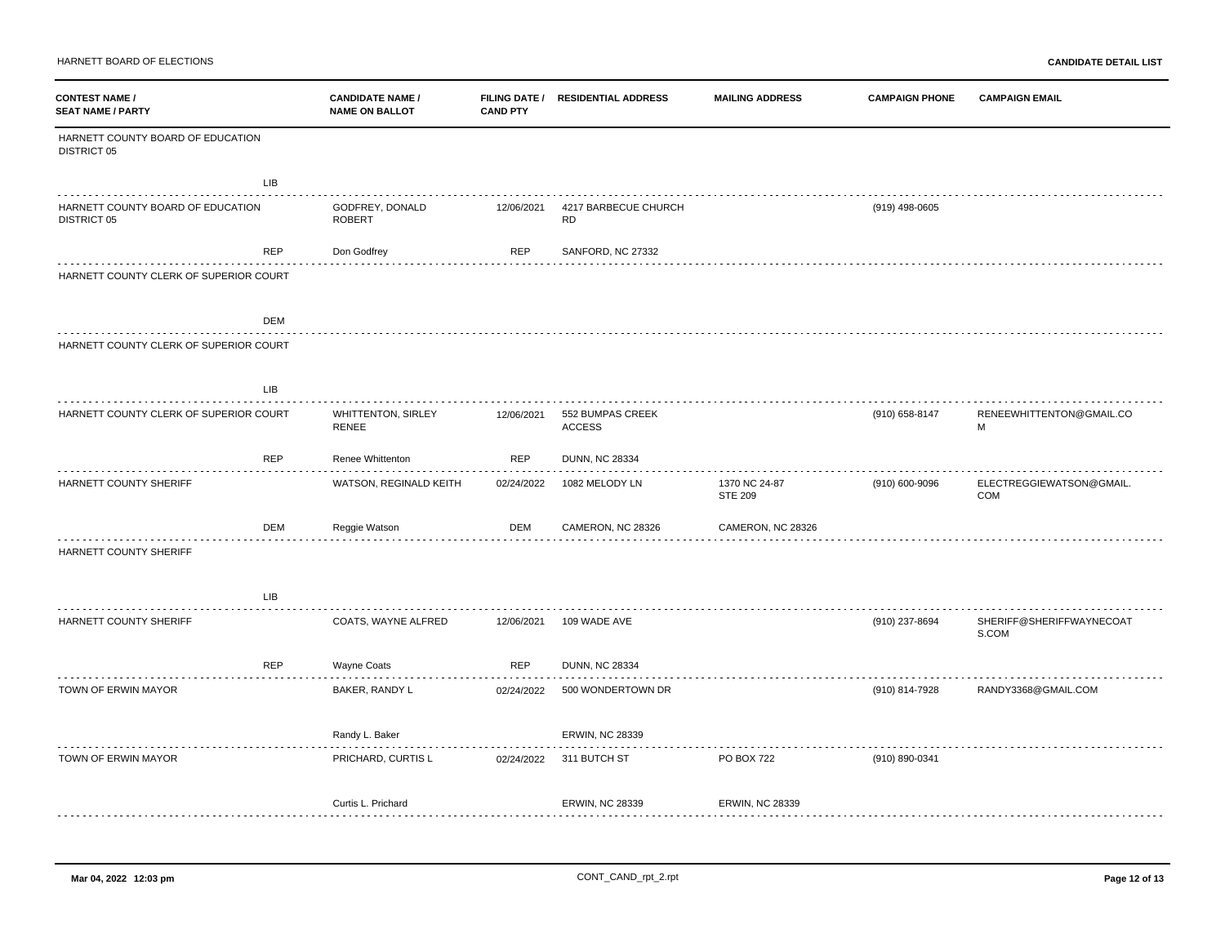HARNETT BOARD OF ELECTIONS **CANDIDATE DETAIL LIST**

| <b>CONTEST NAME /</b><br><b>SEAT NAME / PARTY</b>       | <b>CANDIDATE NAME /</b><br><b>NAME ON BALLOT</b> | <b>CAND PTY</b> | FILING DATE / RESIDENTIAL ADDRESS | <b>MAILING ADDRESS</b>          | <b>CAMPAIGN PHONE</b> | <b>CAMPAIGN EMAIL</b>             |
|---------------------------------------------------------|--------------------------------------------------|-----------------|-----------------------------------|---------------------------------|-----------------------|-----------------------------------|
| HARNETT COUNTY BOARD OF EDUCATION<br><b>DISTRICT 05</b> |                                                  |                 |                                   |                                 |                       |                                   |
| LIB                                                     |                                                  |                 |                                   |                                 |                       |                                   |
| HARNETT COUNTY BOARD OF EDUCATION<br><b>DISTRICT 05</b> | GODFREY, DONALD<br><b>ROBERT</b>                 | 12/06/2021      | 4217 BARBECUE CHURCH<br><b>RD</b> |                                 | (919) 498-0605        |                                   |
| REP                                                     | Don Godfrey                                      | <b>REP</b>      | SANFORD, NC 27332                 |                                 |                       |                                   |
| HARNETT COUNTY CLERK OF SUPERIOR COURT                  |                                                  |                 |                                   |                                 |                       |                                   |
| DEM                                                     |                                                  |                 |                                   |                                 |                       |                                   |
| HARNETT COUNTY CLERK OF SUPERIOR COURT                  |                                                  |                 |                                   |                                 |                       |                                   |
| LIB                                                     |                                                  |                 |                                   |                                 |                       |                                   |
| HARNETT COUNTY CLERK OF SUPERIOR COURT                  | <b>WHITTENTON, SIRLEY</b><br>RENEE               | 12/06/2021      | 552 BUMPAS CREEK<br><b>ACCESS</b> |                                 | (910) 658-8147        | RENEEWHITTENTON@GMAIL.CO<br>M     |
| REP                                                     | Renee Whittenton                                 | <b>REP</b>      | <b>DUNN, NC 28334</b>             |                                 |                       |                                   |
| HARNETT COUNTY SHERIFF                                  | WATSON, REGINALD KEITH                           | 02/24/2022      | 1082 MELODY LN                    | 1370 NC 24-87<br><b>STE 209</b> | (910) 600-9096        | ELECTREGGIEWATSON@GMAIL.<br>COM   |
| DEM                                                     | Reggie Watson                                    | DEM             | CAMERON, NC 28326                 | CAMERON, NC 28326               |                       |                                   |
| HARNETT COUNTY SHERIFF                                  |                                                  |                 |                                   |                                 |                       |                                   |
| LIB                                                     |                                                  |                 |                                   |                                 |                       |                                   |
| HARNETT COUNTY SHERIFF                                  | COATS, WAYNE ALFRED                              | 12/06/2021      | 109 WADE AVE                      |                                 | (910) 237-8694        | SHERIFF@SHERIFFWAYNECOAT<br>S.COM |
| <b>REP</b>                                              | Wayne Coats                                      | <b>REP</b>      | <b>DUNN, NC 28334</b>             |                                 |                       |                                   |
| TOWN OF ERWIN MAYOR                                     | BAKER, RANDY L                                   | 02/24/2022      | 500 WONDERTOWN DR                 |                                 | (910) 814-7928        | RANDY3368@GMAIL.COM               |
|                                                         | Randy L. Baker                                   |                 | <b>ERWIN, NC 28339</b>            |                                 |                       |                                   |
| TOWN OF ERWIN MAYOR                                     | PRICHARD, CURTIS L                               | 02/24/2022      | 311 BUTCH ST                      | PO BOX 722                      | (910) 890-0341        |                                   |
|                                                         | Curtis L. Prichard                               |                 | <b>ERWIN, NC 28339</b>            | <b>ERWIN, NC 28339</b>          |                       |                                   |